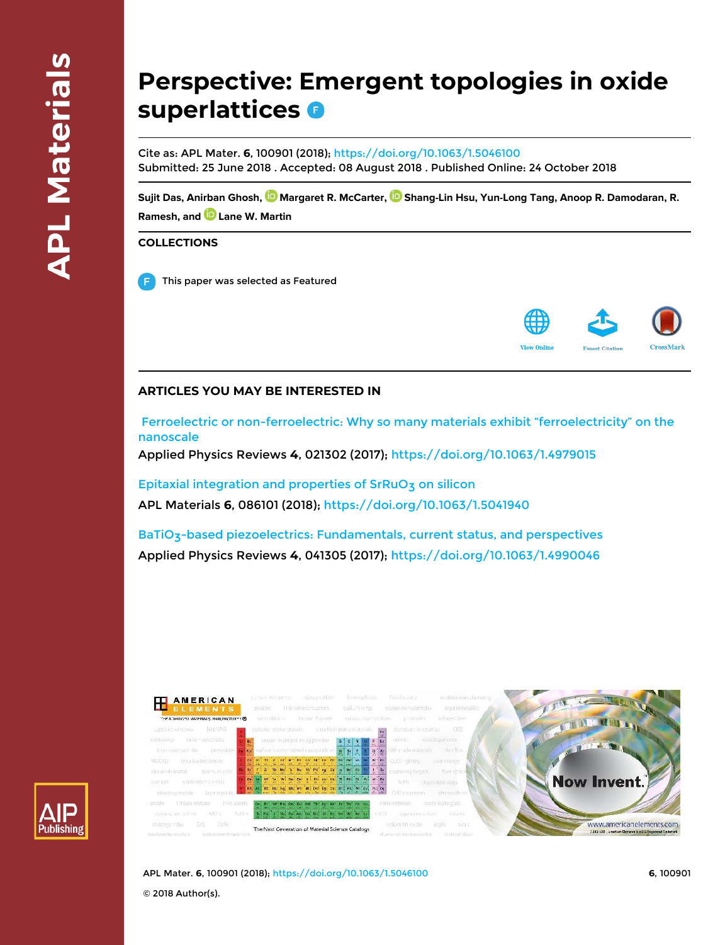# **Perspective: Emergent topologies in oxide superlattices**

Cite as: APL Mater. **6**, 100901 (2018); https://doi.org/10.1063/1.5046100 Submitted: 25 June 2018 . Accepted: 08 August 2018 . Published Online: 24 October 2018

Sujit Das, Anirban Ghosh, **W** Margaret R. McCarter, **W** Shang-Lin Hsu, Yun-Long Tang, Anoop R. Damodaran, R. **Ramesh, and Lane W. Martin**

#### **COLLECTIONS**

This paper was selected as Featured



### **ARTICLES YOU MAY BE INTERESTED IN**

 Ferroelectric or non-ferroelectric: Why so many materials exhibit "ferroelectricity" on the nanoscale

Applied Physics Reviews **4**, 021302 (2017); https://doi.org/10.1063/1.4979015

Epitaxial integration and properties of SrRuO3 on silicon APL Materials **6**, 086101 (2018); https://doi.org/10.1063/1.5041940

BaTiO<sub>3</sub>-based piezoelectrics: Fundamentals, current status, and perspectives Applied Physics Reviews **4**, 041305 (2017); https://doi.org/10.1063/1.4990046



APL Mater. **6**, 100901 (2018); https://doi.org/10.1063/1.5046100 **6**, 100901

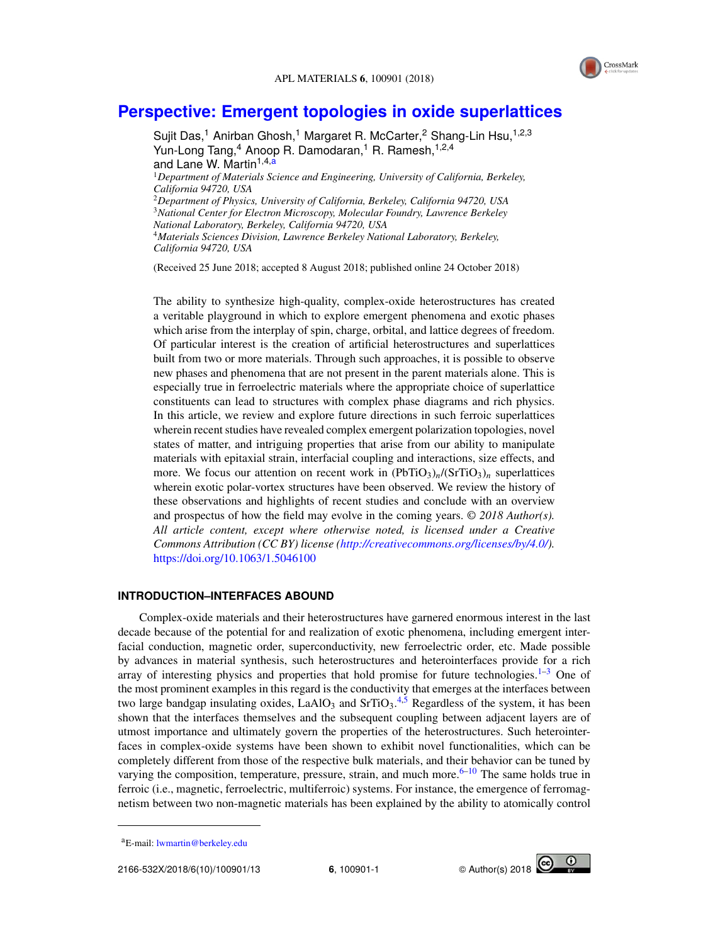

## **Perspective: Emergent topologies in oxide superlattices**

Sujit Das,<sup>1</sup> Anirban Ghosh,<sup>1</sup> Margaret R. McCarter,<sup>2</sup> Shang-Lin Hsu,<sup>1,2,3</sup> Yun-Long Tang,<sup>4</sup> Anoop R. Damodaran,<sup>1</sup> R. Ramesh,<sup>1,2,4</sup> and Lane W. Martin<sup>1,4,a</sup> <sup>1</sup>*Department of Materials Science and Engineering, University of California, Berkeley, California 94720, USA* <sup>2</sup>*Department of Physics, University of California, Berkeley, California 94720, USA* <sup>3</sup>*National Center for Electron Microscopy, Molecular Foundry, Lawrence Berkeley National Laboratory, Berkeley, California 94720, USA* <sup>4</sup>*Materials Sciences Division, Lawrence Berkeley National Laboratory, Berkeley, California 94720, USA*

(Received 25 June 2018; accepted 8 August 2018; published online 24 October 2018)

The ability to synthesize high-quality, complex-oxide heterostructures has created a veritable playground in which to explore emergent phenomena and exotic phases which arise from the interplay of spin, charge, orbital, and lattice degrees of freedom. Of particular interest is the creation of artificial heterostructures and superlattices built from two or more materials. Through such approaches, it is possible to observe new phases and phenomena that are not present in the parent materials alone. This is especially true in ferroelectric materials where the appropriate choice of superlattice constituents can lead to structures with complex phase diagrams and rich physics. In this article, we review and explore future directions in such ferroic superlattices wherein recent studies have revealed complex emergent polarization topologies, novel states of matter, and intriguing properties that arise from our ability to manipulate materials with epitaxial strain, interfacial coupling and interactions, size effects, and more. We focus our attention on recent work in  $(PbTiO<sub>3</sub>)<sub>n</sub>$ /(SrTiO<sub>3</sub>)<sub>n</sub> superlattices wherein exotic polar-vortex structures have been observed. We review the history of these observations and highlights of recent studies and conclude with an overview and prospectus of how the field may evolve in the coming years. © *2018 Author(s). All article content, except where otherwise noted, is licensed under a Creative Commons Attribution (CC BY) license (http://creativecommons.org/licenses/by/4.0/).* https://doi.org/10.1063/1.5046100

#### **INTRODUCTION–INTERFACES ABOUND**

Complex-oxide materials and their heterostructures have garnered enormous interest in the last decade because of the potential for and realization of exotic phenomena, including emergent interfacial conduction, magnetic order, superconductivity, new ferroelectric order, etc. Made possible by advances in material synthesis, such heterostructures and heterointerfaces provide for a rich array of interesting physics and properties that hold promise for future technologies. $1-3$  One of the most prominent examples in this regard is the conductivity that emerges at the interfaces between two large bandgap insulating oxides,  $LaAlO<sub>3</sub>$  and  $SrTiO<sub>3</sub>.<sup>4,5</sup>$  Regardless of the system, it has been shown that the interfaces themselves and the subsequent coupling between adjacent layers are of utmost importance and ultimately govern the properties of the heterostructures. Such heterointerfaces in complex-oxide systems have been shown to exhibit novel functionalities, which can be completely different from those of the respective bulk materials, and their behavior can be tuned by varying the composition, temperature, pressure, strain, and much more.<sup>6–10</sup> The same holds true in ferroic (i.e., magnetic, ferroelectric, multiferroic) systems. For instance, the emergence of ferromagnetism between two non-magnetic materials has been explained by the ability to atomically control



<sup>&</sup>lt;sup>a</sup>E-mail: lwmartin@berkeley.edu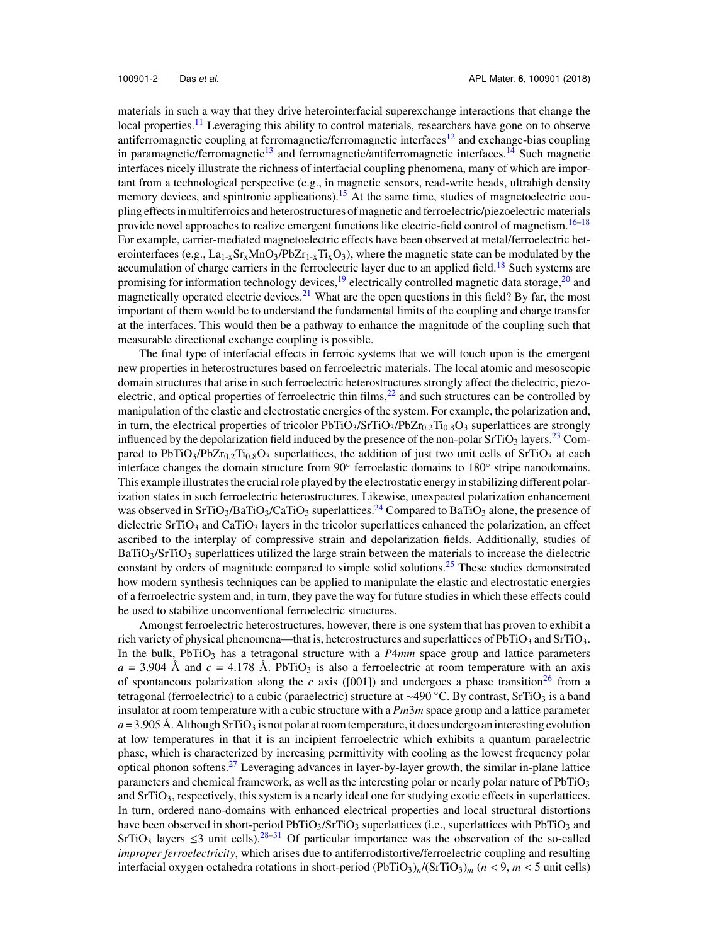materials in such a way that they drive heterointerfacial superexchange interactions that change the local properties.<sup>11</sup> Leveraging this ability to control materials, researchers have gone on to observe antiferromagnetic coupling at ferromagnetic/ferromagnetic interfaces<sup>12</sup> and exchange-bias coupling in paramagnetic/ferromagnetic<sup>13</sup> and ferromagnetic/antiferromagnetic interfaces.<sup>14</sup> Such magnetic interfaces nicely illustrate the richness of interfacial coupling phenomena, many of which are important from a technological perspective (e.g., in magnetic sensors, read-write heads, ultrahigh density memory devices, and spintronic applications).<sup>15</sup> At the same time, studies of magnetoelectric coupling effects in multiferroics and heterostructures of magnetic and ferroelectric/piezoelectric materials provide novel approaches to realize emergent functions like electric-field control of magnetism.<sup>16–18</sup> For example, carrier-mediated magnetoelectric effects have been observed at metal/ferroelectric heterointerfaces (e.g.,  $La_{1-x}Sr_xMnO_3/PbZr_{1-x}Ti_xO_3$ ), where the magnetic state can be modulated by the accumulation of charge carriers in the ferroelectric layer due to an applied field.<sup>18</sup> Such systems are promising for information technology devices, $19$  electrically controlled magnetic data storage, $20$  and magnetically operated electric devices.<sup>21</sup> What are the open questions in this field? By far, the most important of them would be to understand the fundamental limits of the coupling and charge transfer at the interfaces. This would then be a pathway to enhance the magnitude of the coupling such that measurable directional exchange coupling is possible.

The final type of interfacial effects in ferroic systems that we will touch upon is the emergent new properties in heterostructures based on ferroelectric materials. The local atomic and mesoscopic domain structures that arise in such ferroelectric heterostructures strongly affect the dielectric, piezoelectric, and optical properties of ferroelectric thin films, $^{22}$  and such structures can be controlled by manipulation of the elastic and electrostatic energies of the system. For example, the polarization and, in turn, the electrical properties of tricolor  $PbTiO<sub>3</sub>/SrTiO<sub>3</sub>/PbZr<sub>0.2</sub>Ti<sub>0.8</sub>O<sub>3</sub> superlattices are strongly$ influenced by the depolarization field induced by the presence of the non-polar  $SrTiO<sub>3</sub>$  layers.<sup>23</sup> Compared to PbTiO<sub>3</sub>/PbZr<sub>0.2</sub>Ti<sub>0.8</sub>O<sub>3</sub> superlattices, the addition of just two unit cells of SrTiO<sub>3</sub> at each interface changes the domain structure from 90◦ ferroelastic domains to 180◦ stripe nanodomains. This example illustrates the crucial role played by the electrostatic energy in stabilizing different polarization states in such ferroelectric heterostructures. Likewise, unexpected polarization enhancement was observed in SrTiO<sub>3</sub>/BaTiO<sub>3</sub>/CaTiO<sub>3</sub> superlattices.<sup>24</sup> Compared to BaTiO<sub>3</sub> alone, the presence of dielectric  $SrTiO<sub>3</sub>$  and  $CaTiO<sub>3</sub>$  layers in the tricolor superlattices enhanced the polarization, an effect ascribed to the interplay of compressive strain and depolarization fields. Additionally, studies of  $BaTiO<sub>3</sub>/SrTiO<sub>3</sub> superlattices utilized the large strain between the materials to increase the dielectric$ constant by orders of magnitude compared to simple solid solutions.<sup>25</sup> These studies demonstrated how modern synthesis techniques can be applied to manipulate the elastic and electrostatic energies of a ferroelectric system and, in turn, they pave the way for future studies in which these effects could be used to stabilize unconventional ferroelectric structures.

Amongst ferroelectric heterostructures, however, there is one system that has proven to exhibit a rich variety of physical phenomena—that is, heterostructures and superlattices of PbTiO<sub>3</sub> and SrTiO<sub>3</sub>. In the bulk, PbTiO<sub>3</sub> has a tetragonal structure with a  $P4mm$  space group and lattice parameters  $a = 3.904$  Å and  $c = 4.178$  Å. PbTiO<sub>3</sub> is also a ferroelectric at room temperature with an axis of spontaneous polarization along the *c* axis ([001]) and undergoes a phase transition<sup>26</sup> from a tetragonal (ferroelectric) to a cubic (paraelectric) structure at ~490 °C. By contrast, SrTiO<sub>3</sub> is a band insulator at room temperature with a cubic structure with a *Pm*3*m* space group and a lattice parameter  $a = 3.905$  Å. Although SrTiO<sub>3</sub> is not polar at room temperature, it does undergo an interesting evolution at low temperatures in that it is an incipient ferroelectric which exhibits a quantum paraelectric phase, which is characterized by increasing permittivity with cooling as the lowest frequency polar optical phonon softens.<sup>27</sup> Leveraging advances in layer-by-layer growth, the similar in-plane lattice parameters and chemical framework, as well as the interesting polar or nearly polar nature of  $PbTiO<sub>3</sub>$ and  $SrTiO<sub>3</sub>$ , respectively, this system is a nearly ideal one for studying exotic effects in superlattices. In turn, ordered nano-domains with enhanced electrical properties and local structural distortions have been observed in short-period PbTiO<sub>3</sub>/SrTiO<sub>3</sub> superlattices (i.e., superlattices with PbTiO<sub>3</sub> and SrTiO<sub>3</sub> layers  $\leq$ 3 unit cells).<sup>28–31</sup> Of particular importance was the observation of the so-called *improper ferroelectricity*, which arises due to antiferrodistortive/ferroelectric coupling and resulting interfacial oxygen octahedra rotations in short-period  $(PbTiO_3)_n/(SrTiO_3)_m$  ( $n < 9$ ,  $m < 5$  unit cells)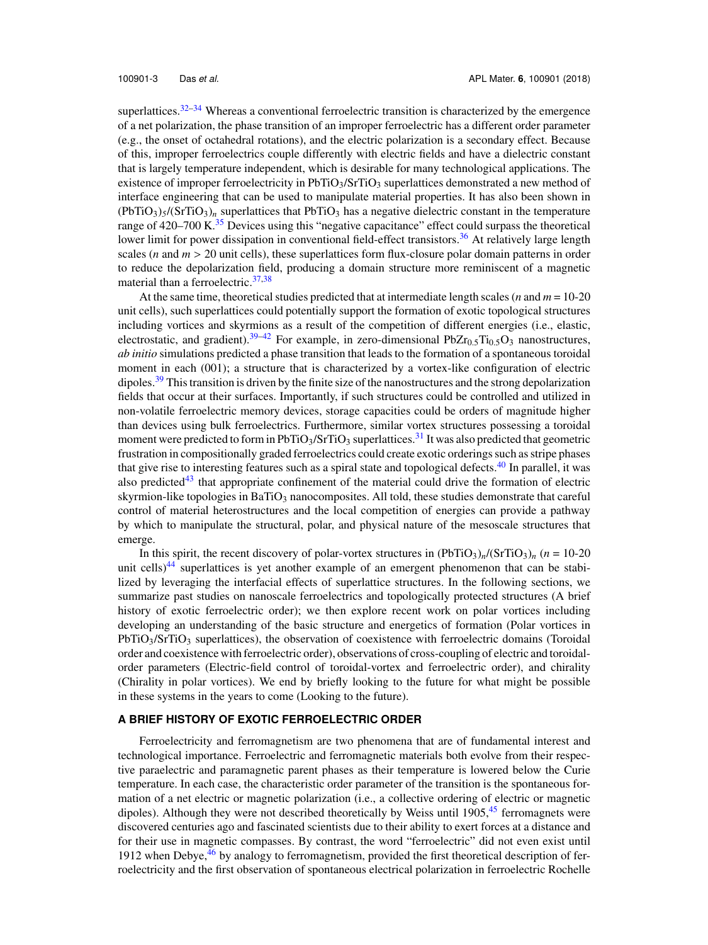superlattices.<sup>32–34</sup> Whereas a conventional ferroelectric transition is characterized by the emergence of a net polarization, the phase transition of an improper ferroelectric has a different order parameter (e.g., the onset of octahedral rotations), and the electric polarization is a secondary effect. Because of this, improper ferroelectrics couple differently with electric fields and have a dielectric constant that is largely temperature independent, which is desirable for many technological applications. The existence of improper ferroelectricity in PbTiO<sub>3</sub>/SrTiO<sub>3</sub> superlattices demonstrated a new method of interface engineering that can be used to manipulate material properties. It has also been shown in  $(PbTiO<sub>3</sub>)<sub>5</sub>$ /(SrTiO<sub>3</sub>)<sub>n</sub> superlattices that PbTiO<sub>3</sub> has a negative dielectric constant in the temperature range of  $420-700$  K.<sup>35</sup> Devices using this "negative capacitance" effect could surpass the theoretical lower limit for power dissipation in conventional field-effect transistors.<sup>36</sup> At relatively large length scales (*n* and *m* > 20 unit cells), these superlattices form flux-closure polar domain patterns in order to reduce the depolarization field, producing a domain structure more reminiscent of a magnetic material than a ferroelectric.<sup>37,38</sup>

At the same time, theoretical studies predicted that at intermediate length scales (*n* and *m* = 10-20 unit cells), such superlattices could potentially support the formation of exotic topological structures including vortices and skyrmions as a result of the competition of different energies (i.e., elastic, electrostatic, and gradient).<sup>39–42</sup> For example, in zero-dimensional PbZr<sub>0.5</sub>Ti<sub>0.5</sub>O<sub>3</sub> nanostructures, *ab initio* simulations predicted a phase transition that leads to the formation of a spontaneous toroidal moment in each (001); a structure that is characterized by a vortex-like configuration of electric dipoles.<sup>39</sup> This transition is driven by the finite size of the nanostructures and the strong depolarization fields that occur at their surfaces. Importantly, if such structures could be controlled and utilized in non-volatile ferroelectric memory devices, storage capacities could be orders of magnitude higher than devices using bulk ferroelectrics. Furthermore, similar vortex structures possessing a toroidal moment were predicted to form in PbTiO<sub>3</sub>/SrTiO<sub>3</sub> superlattices.<sup>31</sup> It was also predicted that geometric frustration in compositionally graded ferroelectrics could create exotic orderings such as stripe phases that give rise to interesting features such as a spiral state and topological defects.<sup>40</sup> In parallel, it was also predicted<sup>43</sup> that appropriate confinement of the material could drive the formation of electric skyrmion-like topologies in Ba $TiO<sub>3</sub>$  nanocomposites. All told, these studies demonstrate that careful control of material heterostructures and the local competition of energies can provide a pathway by which to manipulate the structural, polar, and physical nature of the mesoscale structures that emerge.

In this spirit, the recent discovery of polar-vortex structures in  $(PbTiO<sub>3</sub>)_n/(SrTiO<sub>3</sub>)_n$  ( $n = 10{\text -}20$ unit cells)<sup>44</sup> superlattices is yet another example of an emergent phenomenon that can be stabilized by leveraging the interfacial effects of superlattice structures. In the following sections, we summarize past studies on nanoscale ferroelectrics and topologically protected structures (A brief history of exotic ferroelectric order); we then explore recent work on polar vortices including developing an understanding of the basic structure and energetics of formation (Polar vortices in  $PbTiO<sub>3</sub>/SrTiO<sub>3</sub>$  superlattices), the observation of coexistence with ferroelectric domains (Toroidal order and coexistence with ferroelectric order), observations of cross-coupling of electric and toroidalorder parameters (Electric-field control of toroidal-vortex and ferroelectric order), and chirality (Chirality in polar vortices). We end by briefly looking to the future for what might be possible in these systems in the years to come (Looking to the future).

#### **A BRIEF HISTORY OF EXOTIC FERROELECTRIC ORDER**

Ferroelectricity and ferromagnetism are two phenomena that are of fundamental interest and technological importance. Ferroelectric and ferromagnetic materials both evolve from their respective paraelectric and paramagnetic parent phases as their temperature is lowered below the Curie temperature. In each case, the characteristic order parameter of the transition is the spontaneous formation of a net electric or magnetic polarization (i.e., a collective ordering of electric or magnetic dipoles). Although they were not described theoretically by Weiss until  $1905<sup>45</sup>$  ferromagnets were discovered centuries ago and fascinated scientists due to their ability to exert forces at a distance and for their use in magnetic compasses. By contrast, the word "ferroelectric" did not even exist until 1912 when Debye,  $^{46}$  by analogy to ferromagnetism, provided the first theoretical description of ferroelectricity and the first observation of spontaneous electrical polarization in ferroelectric Rochelle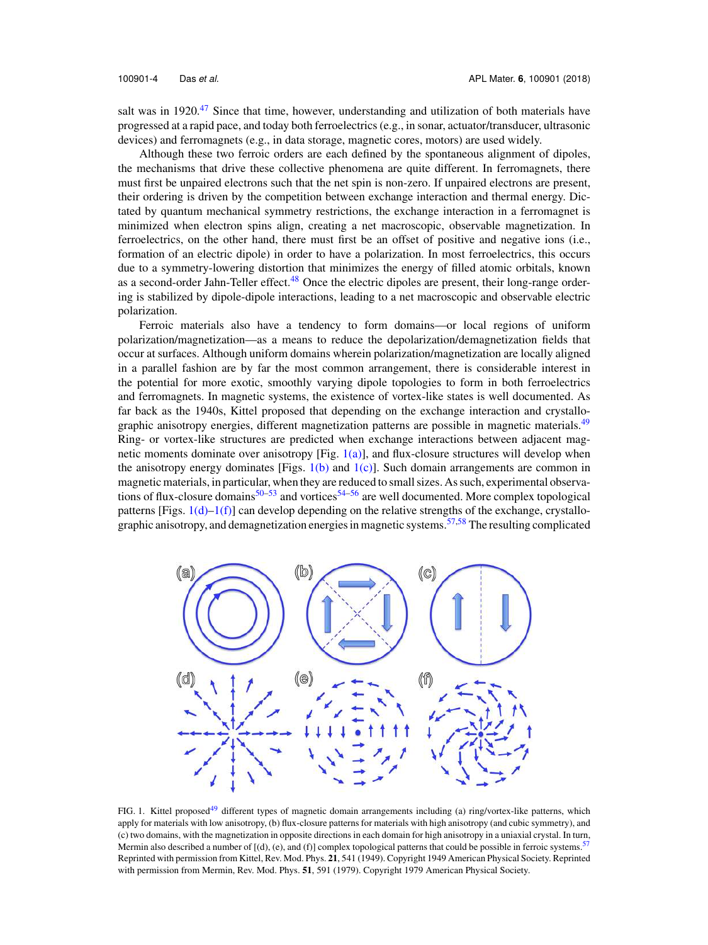salt was in 1920.<sup>47</sup> Since that time, however, understanding and utilization of both materials have progressed at a rapid pace, and today both ferroelectrics (e.g., in sonar, actuator/transducer, ultrasonic devices) and ferromagnets (e.g., in data storage, magnetic cores, motors) are used widely.

Although these two ferroic orders are each defined by the spontaneous alignment of dipoles, the mechanisms that drive these collective phenomena are quite different. In ferromagnets, there must first be unpaired electrons such that the net spin is non-zero. If unpaired electrons are present, their ordering is driven by the competition between exchange interaction and thermal energy. Dictated by quantum mechanical symmetry restrictions, the exchange interaction in a ferromagnet is minimized when electron spins align, creating a net macroscopic, observable magnetization. In ferroelectrics, on the other hand, there must first be an offset of positive and negative ions (i.e., formation of an electric dipole) in order to have a polarization. In most ferroelectrics, this occurs due to a symmetry-lowering distortion that minimizes the energy of filled atomic orbitals, known as a second-order Jahn-Teller effect.<sup>48</sup> Once the electric dipoles are present, their long-range ordering is stabilized by dipole-dipole interactions, leading to a net macroscopic and observable electric polarization.

Ferroic materials also have a tendency to form domains—or local regions of uniform polarization/magnetization—as a means to reduce the depolarization/demagnetization fields that occur at surfaces. Although uniform domains wherein polarization/magnetization are locally aligned in a parallel fashion are by far the most common arrangement, there is considerable interest in the potential for more exotic, smoothly varying dipole topologies to form in both ferroelectrics and ferromagnets. In magnetic systems, the existence of vortex-like states is well documented. As far back as the 1940s, Kittel proposed that depending on the exchange interaction and crystallographic anisotropy energies, different magnetization patterns are possible in magnetic materials.<sup>49</sup> Ring- or vortex-like structures are predicted when exchange interactions between adjacent magnetic moments dominate over anisotropy  $[Fig. 1(a)]$ , and flux-closure structures will develop when the anisotropy energy dominates [Figs.  $1(b)$  and  $1(c)$ ]. Such domain arrangements are common in magnetic materials, in particular, when they are reduced to small sizes. As such, experimental observations of flux-closure domains<sup>50–53</sup> and vortices<sup>54–56</sup> are well documented. More complex topological patterns [Figs.  $1(d)-1(f)$ ] can develop depending on the relative strengths of the exchange, crystallographic anisotropy, and demagnetization energies in magnetic systems.<sup>57,58</sup> The resulting complicated



FIG. 1. Kittel proposed<sup>49</sup> different types of magnetic domain arrangements including (a) ring/vortex-like patterns, which apply for materials with low anisotropy, (b) flux-closure patterns for materials with high anisotropy (and cubic symmetry), and (c) two domains, with the magnetization in opposite directions in each domain for high anisotropy in a uniaxial crystal. In turn, Mermin also described a number of  $[(d), (e),$  and  $(f)]$  complex topological patterns that could be possible in ferroic systems.<sup>57</sup> Reprinted with permission from Kittel, Rev. Mod. Phys. **21**, 541 (1949). Copyright 1949 American Physical Society. Reprinted with permission from Mermin, Rev. Mod. Phys. **51**, 591 (1979). Copyright 1979 American Physical Society.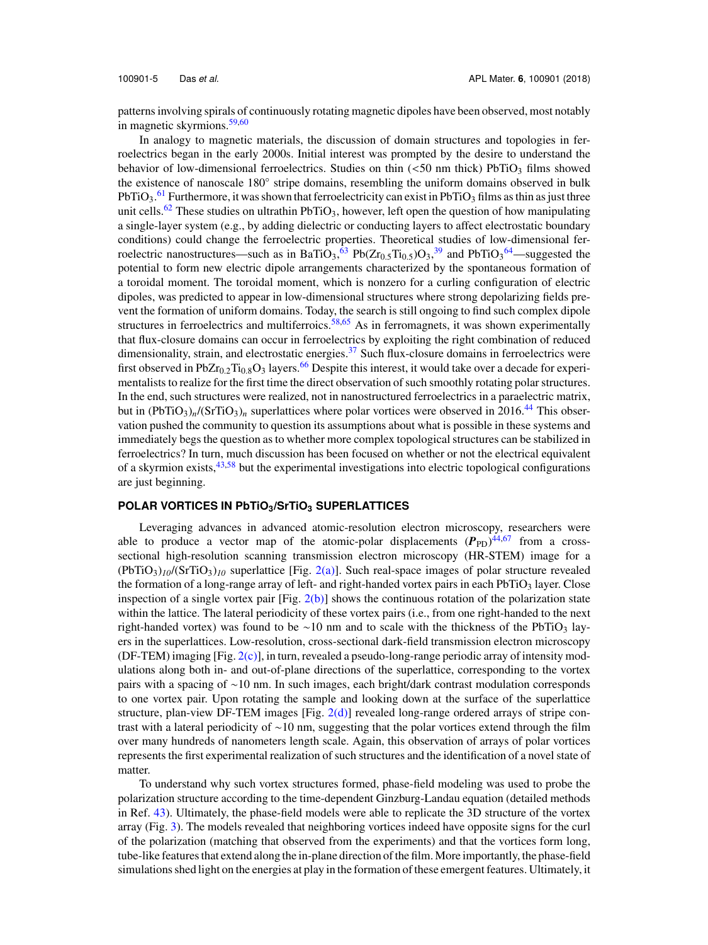patterns involving spirals of continuously rotating magnetic dipoles have been observed, most notably in magnetic skyrmions.<sup>59,60</sup>

In analogy to magnetic materials, the discussion of domain structures and topologies in ferroelectrics began in the early 2000s. Initial interest was prompted by the desire to understand the behavior of low-dimensional ferroelectrics. Studies on thin  $\langle$ <50 nm thick) PbTiO<sub>3</sub> films showed the existence of nanoscale 180° stripe domains, resembling the uniform domains observed in bulk PbTiO<sub>3</sub>.<sup>61</sup> Furthermore, it was shown that ferroelectricity can exist in PbTiO<sub>3</sub> films as thin as just three unit cells.<sup>62</sup> These studies on ultrathin PbTiO<sub>3</sub>, however, left open the question of how manipulating a single-layer system (e.g., by adding dielectric or conducting layers to affect electrostatic boundary conditions) could change the ferroelectric properties. Theoretical studies of low-dimensional ferroelectric nanostructures—such as in BaTiO<sub>3</sub>,<sup>63</sup> Pb( $Zr_{0.5}Ti_{0.5}$ )O<sub>3</sub>,<sup>39</sup> and PbTiO<sub>3</sub><sup>64</sup>—suggested the potential to form new electric dipole arrangements characterized by the spontaneous formation of a toroidal moment. The toroidal moment, which is nonzero for a curling configuration of electric dipoles, was predicted to appear in low-dimensional structures where strong depolarizing fields prevent the formation of uniform domains. Today, the search is still ongoing to find such complex dipole structures in ferroelectrics and multiferroics.<sup>58,65</sup> As in ferromagnets, it was shown experimentally that flux-closure domains can occur in ferroelectrics by exploiting the right combination of reduced dimensionality, strain, and electrostatic energies.<sup>37</sup> Such flux-closure domains in ferroelectrics were first observed in PbZr<sub>0.2</sub>Ti<sub>0.8</sub>O<sub>3</sub> layers.<sup>66</sup> Despite this interest, it would take over a decade for experimentalists to realize for the first time the direct observation of such smoothly rotating polar structures. In the end, such structures were realized, not in nanostructured ferroelectrics in a paraelectric matrix, but in  $(PbTiO<sub>3</sub>)<sub>n</sub>$ /(SrTiO<sub>3</sub>)<sub>n</sub> superlattices where polar vortices were observed in 2016.<sup>44</sup> This observation pushed the community to question its assumptions about what is possible in these systems and immediately begs the question as to whether more complex topological structures can be stabilized in ferroelectrics? In turn, much discussion has been focused on whether or not the electrical equivalent of a skyrmion exists,  $43,58$  but the experimental investigations into electric topological configurations are just beginning.

#### **POLAR VORTICES IN PbTiO3/SrTiO<sup>3</sup> SUPERLATTICES**

Leveraging advances in advanced atomic-resolution electron microscopy, researchers were able to produce a vector map of the atomic-polar displacements  $(P_{PD})^{44,67}$  from a crosssectional high-resolution scanning transmission electron microscopy (HR-STEM) image for a  $(PbTiO<sub>3</sub>)<sub>10</sub>$  (SrTiO<sub>3</sub>)<sub>10</sub> superlattice [Fig. 2(a)]. Such real-space images of polar structure revealed the formation of a long-range array of left- and right-handed vortex pairs in each  $PbTiO<sub>3</sub>$  layer. Close inspection of a single vortex pair  $[Fig. 2(b)]$  shows the continuous rotation of the polarization state within the lattice. The lateral periodicity of these vortex pairs (i.e., from one right-handed to the next right-handed vortex) was found to be ∼10 nm and to scale with the thickness of the PbTiO<sub>3</sub> layers in the superlattices. Low-resolution, cross-sectional dark-field transmission electron microscopy (DF-TEM) imaging  $[Fig. 2(c)]$ , in turn, revealed a pseudo-long-range periodic array of intensity modulations along both in- and out-of-plane directions of the superlattice, corresponding to the vortex pairs with a spacing of ∼10 nm. In such images, each bright/dark contrast modulation corresponds to one vortex pair. Upon rotating the sample and looking down at the surface of the superlattice structure, plan-view DF-TEM images  $[Fig. 2(d)]$  revealed long-range ordered arrays of stripe contrast with a lateral periodicity of ∼10 nm, suggesting that the polar vortices extend through the film over many hundreds of nanometers length scale. Again, this observation of arrays of polar vortices represents the first experimental realization of such structures and the identification of a novel state of matter.

To understand why such vortex structures formed, phase-field modeling was used to probe the polarization structure according to the time-dependent Ginzburg-Landau equation (detailed methods in Ref. 43). Ultimately, the phase-field models were able to replicate the 3D structure of the vortex array (Fig. 3). The models revealed that neighboring vortices indeed have opposite signs for the curl of the polarization (matching that observed from the experiments) and that the vortices form long, tube-like features that extend along the in-plane direction of the film. More importantly, the phase-field simulations shed light on the energies at play in the formation of these emergent features. Ultimately, it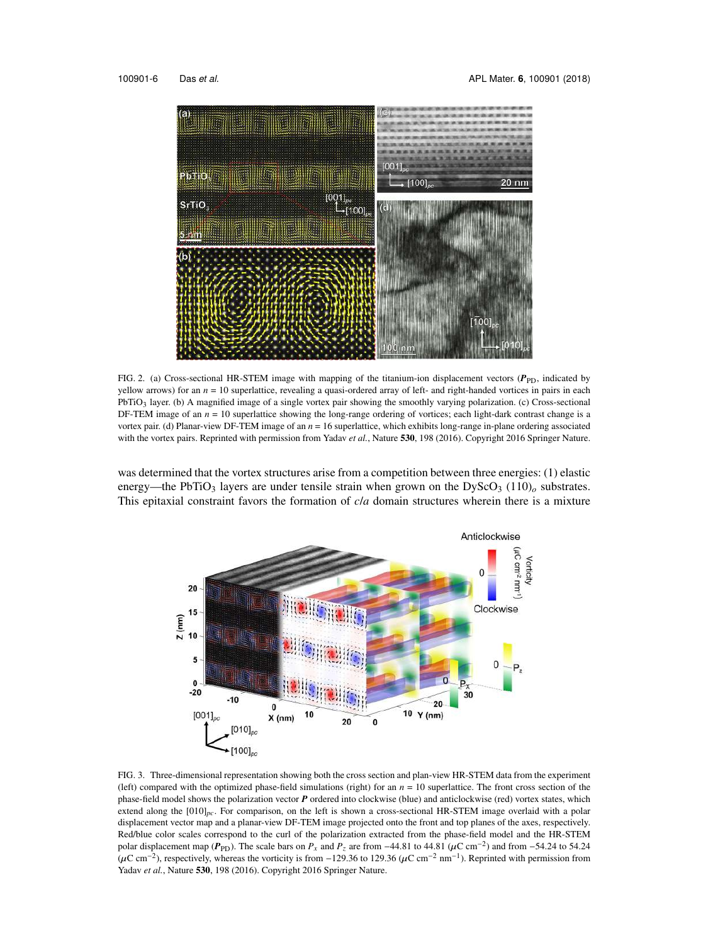

FIG. 2. (a) Cross-sectional HR-STEM image with mapping of the titanium-ion displacement vectors ( $P_{\text{PD}}$ , indicated by yellow arrows) for an *n* = 10 superlattice, revealing a quasi-ordered array of left- and right-handed vortices in pairs in each  $PbTiO<sub>3</sub>$  layer. (b) A magnified image of a single vortex pair showing the smoothly varying polarization. (c) Cross-sectional DF-TEM image of an  $n = 10$  superlattice showing the long-range ordering of vortices; each light-dark contrast change is a vortex pair. (d) Planar-view DF-TEM image of an *n* = 16 superlattice, which exhibits long-range in-plane ordering associated with the vortex pairs. Reprinted with permission from Yadav *et al.*, Nature **530**, 198 (2016). Copyright 2016 Springer Nature.

was determined that the vortex structures arise from a competition between three energies: (1) elastic energy—the PbTiO<sub>3</sub> layers are under tensile strain when grown on the DyScO<sub>3</sub> (110)<sub>*o*</sub> substrates. This epitaxial constraint favors the formation of *c*/*a* domain structures wherein there is a mixture



FIG. 3. Three-dimensional representation showing both the cross section and plan-view HR-STEM data from the experiment (left) compared with the optimized phase-field simulations (right) for an  $n = 10$  superlattice. The front cross section of the phase-field model shows the polarization vector *P* ordered into clockwise (blue) and anticlockwise (red) vortex states, which extend along the [010]<sub>*pc*</sub>. For comparison, on the left is shown a cross-sectional HR-STEM image overlaid with a polar displacement vector map and a planar-view DF-TEM image projected onto the front and top planes of the axes, respectively. Red/blue color scales correspond to the curl of the polarization extracted from the phase-field model and the HR-STEM polar displacement map ( $P_{PD}$ ). The scale bars on  $P_x$  and  $P_z$  are from −44.81 to 44.81 ( $\mu$ C cm<sup>-2</sup>) and from −54.24 to 54.24  $(\mu$ C cm<sup>-2</sup>), respectively, whereas the vorticity is from -129.36 to 129.36 ( $\mu$ C cm<sup>-2</sup> nm<sup>-1</sup>). Reprinted with permission from Yadav *et al.*, Nature **530**, 198 (2016). Copyright 2016 Springer Nature.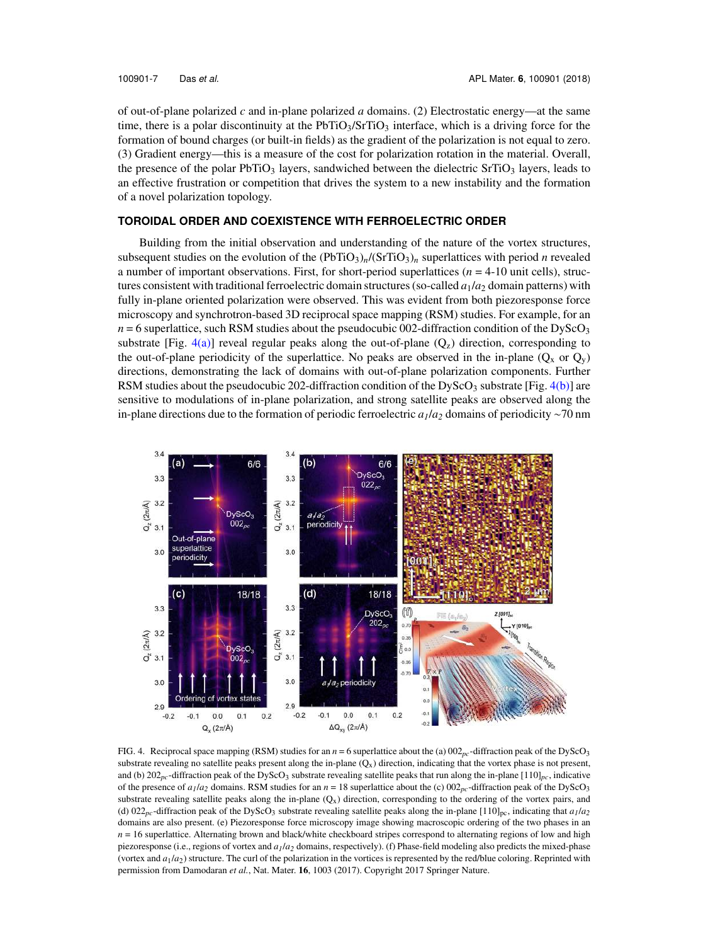of out-of-plane polarized *c* and in-plane polarized *a* domains. (2) Electrostatic energy—at the same time, there is a polar discontinuity at the  $PbTiO<sub>3</sub>/STIO<sub>3</sub>$  interface, which is a driving force for the formation of bound charges (or built-in fields) as the gradient of the polarization is not equal to zero. (3) Gradient energy—this is a measure of the cost for polarization rotation in the material. Overall, the presence of the polar PbTiO<sub>3</sub> layers, sandwiched between the dielectric SrTiO<sub>3</sub> layers, leads to an effective frustration or competition that drives the system to a new instability and the formation of a novel polarization topology.

#### **TOROIDAL ORDER AND COEXISTENCE WITH FERROELECTRIC ORDER**

Building from the initial observation and understanding of the nature of the vortex structures, subsequent studies on the evolution of the  $(PbTiO<sub>3</sub>)<sub>n</sub>$ /(SrTiO<sub>3</sub>)<sub>n</sub> superlattices with period *n* revealed a number of important observations. First, for short-period superlattices (*n* = 4-10 unit cells), structures consistent with traditional ferroelectric domain structures (so-called *a*1/*a*<sup>2</sup> domain patterns) with fully in-plane oriented polarization were observed. This was evident from both piezoresponse force microscopy and synchrotron-based 3D reciprocal space mapping (RSM) studies. For example, for an  $n = 6$  superlattice, such RSM studies about the pseudocubic 002-diffraction condition of the DyScO<sub>3</sub> substrate [Fig. 4(a)] reveal regular peaks along the out-of-plane  $(Q<sub>z</sub>)$  direction, corresponding to the out-of-plane periodicity of the superlattice. No peaks are observed in the in-plane ( $Q_x$  or  $Q_y$ ) directions, demonstrating the lack of domains with out-of-plane polarization components. Further RSM studies about the pseudocubic 202-diffraction condition of the DyScO<sub>3</sub> substrate [Fig.  $4(b)$ ] are sensitive to modulations of in-plane polarization, and strong satellite peaks are observed along the in-plane directions due to the formation of periodic ferroelectric *a1*/*a<sup>2</sup>* domains of periodicity ∼70 nm



FIG. 4. Reciprocal space mapping (RSM) studies for an  $n = 6$  superlattice about the (a)  $002_{pc}$ -diffraction peak of the DyScO<sub>3</sub> substrate revealing no satellite peaks present along the in-plane  $(Q_x)$  direction, indicating that the vortex phase is not present, and (b) 202<sub>pc</sub>-diffraction peak of the DyScO<sub>3</sub> substrate revealing satellite peaks that run along the in-plane [110]<sub>pc</sub>, indicative of the presence of  $a_1/a_2$  domains. RSM studies for an  $n = 18$  superlattice about the (c)  $002_{pc}$ -diffraction peak of the DyScO<sub>3</sub> substrate revealing satellite peaks along the in-plane  $(Q_x)$  direction, corresponding to the ordering of the vortex pairs, and (d)  $022<sub>pc</sub>$ -diffraction peak of the DyScO<sub>3</sub> substrate revealing satellite peaks along the in-plane [110]<sub>pc</sub>, indicating that  $a_1/a_2$ domains are also present. (e) Piezoresponse force microscopy image showing macroscopic ordering of the two phases in an  $n = 16$  superlattice. Alternating brown and black/white checkboard stripes correspond to alternating regions of low and high piezoresponse (i.e., regions of vortex and *a1*/*a<sup>2</sup>* domains, respectively). (f) Phase-field modeling also predicts the mixed-phase (vortex and *a*1/*a*2) structure. The curl of the polarization in the vortices is represented by the red/blue coloring. Reprinted with permission from Damodaran *et al.*, Nat. Mater. **16**, 1003 (2017). Copyright 2017 Springer Nature.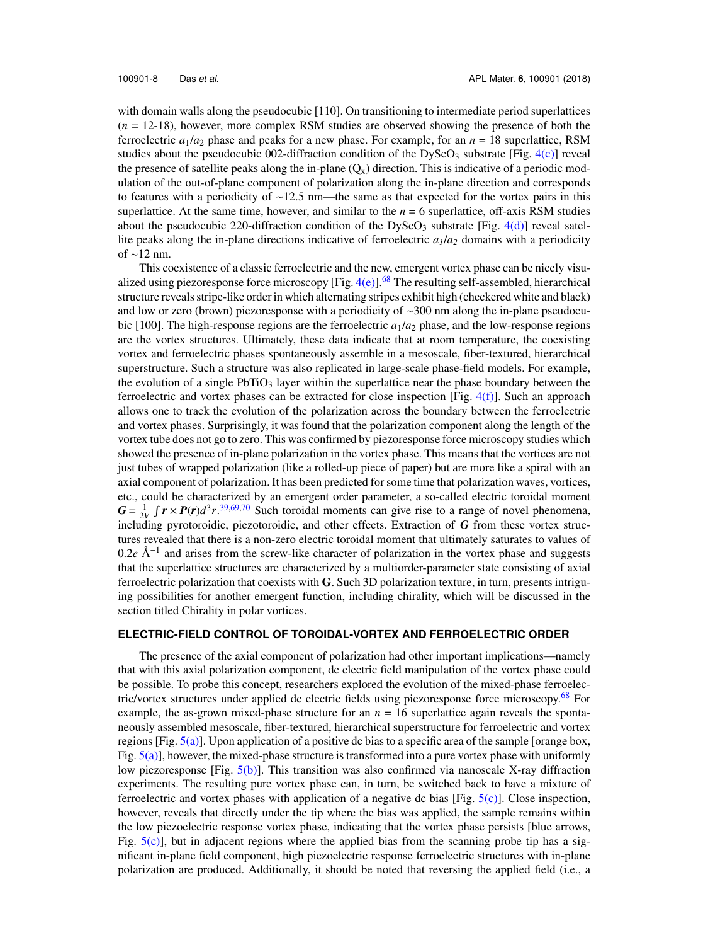with domain walls along the pseudocubic [110]. On transitioning to intermediate period superlattices (*n* = 12-18), however, more complex RSM studies are observed showing the presence of both the ferroelectric  $a_1/a_2$  phase and peaks for a new phase. For example, for an  $n = 18$  superlattice, RSM studies about the pseudocubic 002-diffraction condition of the DyScO<sub>3</sub> substrate [Fig.  $4(c)$ ] reveal the presence of satellite peaks along the in-plane  $(Q_x)$  direction. This is indicative of a periodic modulation of the out-of-plane component of polarization along the in-plane direction and corresponds to features with a periodicity of ∼12.5 nm—the same as that expected for the vortex pairs in this superlattice. At the same time, however, and similar to the  $n = 6$  superlattice, off-axis RSM studies about the pseudocubic 220-diffraction condition of the DyScO<sub>3</sub> substrate [Fig. 4(d)] reveal satellite peaks along the in-plane directions indicative of ferroelectric *a1*/*a<sup>2</sup>* domains with a periodicity of ∼12 nm.

This coexistence of a classic ferroelectric and the new, emergent vortex phase can be nicely visualized using piezoresponse force microscopy [Fig.  $4(e)$ ].<sup>68</sup> The resulting self-assembled, hierarchical structure reveals stripe-like order in which alternating stripes exhibit high (checkered white and black) and low or zero (brown) piezoresponse with a periodicity of ∼300 nm along the in-plane pseudocubic [100]. The high-response regions are the ferroelectric  $a_1/a_2$  phase, and the low-response regions are the vortex structures. Ultimately, these data indicate that at room temperature, the coexisting vortex and ferroelectric phases spontaneously assemble in a mesoscale, fiber-textured, hierarchical superstructure. Such a structure was also replicated in large-scale phase-field models. For example, the evolution of a single  $PbTiO<sub>3</sub>$  layer within the superlattice near the phase boundary between the ferroelectric and vortex phases can be extracted for close inspection [Fig.  $4(f)$ ]. Such an approach allows one to track the evolution of the polarization across the boundary between the ferroelectric and vortex phases. Surprisingly, it was found that the polarization component along the length of the vortex tube does not go to zero. This was confirmed by piezoresponse force microscopy studies which showed the presence of in-plane polarization in the vortex phase. This means that the vortices are not just tubes of wrapped polarization (like a rolled-up piece of paper) but are more like a spiral with an axial component of polarization. It has been predicted for some time that polarization waves, vortices, etc., could be characterized by an emergent order parameter, a so-called electric toroidal moment  $G = \frac{1}{2V} \int r \times P(r) d^3 r$ . 39,69,70 Such toroidal moments can give rise to a range of novel phenomena, including pyrotoroidic, piezotoroidic, and other effects. Extraction of *G* from these vortex structures revealed that there is a non-zero electric toroidal moment that ultimately saturates to values of 0.2*e* Å<sup>-1</sup> and arises from the screw-like character of polarization in the vortex phase and suggests that the superlattice structures are characterized by a multiorder-parameter state consisting of axial ferroelectric polarization that coexists with **G**. Such 3D polarization texture, in turn, presents intriguing possibilities for another emergent function, including chirality, which will be discussed in the section titled Chirality in polar vortices.

#### **ELECTRIC-FIELD CONTROL OF TOROIDAL-VORTEX AND FERROELECTRIC ORDER**

The presence of the axial component of polarization had other important implications—namely that with this axial polarization component, dc electric field manipulation of the vortex phase could be possible. To probe this concept, researchers explored the evolution of the mixed-phase ferroelectric/vortex structures under applied dc electric fields using piezoresponse force microscopy.<sup>68</sup> For example, the as-grown mixed-phase structure for an  $n = 16$  superlattice again reveals the spontaneously assembled mesoscale, fiber-textured, hierarchical superstructure for ferroelectric and vortex regions [Fig. 5(a)]. Upon application of a positive dc bias to a specific area of the sample [orange box, Fig.  $5(a)$ ], however, the mixed-phase structure is transformed into a pure vortex phase with uniformly low piezoresponse [Fig.  $5(b)$ ]. This transition was also confirmed via nanoscale X-ray diffraction experiments. The resulting pure vortex phase can, in turn, be switched back to have a mixture of ferroelectric and vortex phases with application of a negative dc bias [Fig. 5(c)]. Close inspection, however, reveals that directly under the tip where the bias was applied, the sample remains within the low piezoelectric response vortex phase, indicating that the vortex phase persists [blue arrows, Fig.  $5(c)$ ], but in adjacent regions where the applied bias from the scanning probe tip has a significant in-plane field component, high piezoelectric response ferroelectric structures with in-plane polarization are produced. Additionally, it should be noted that reversing the applied field (i.e., a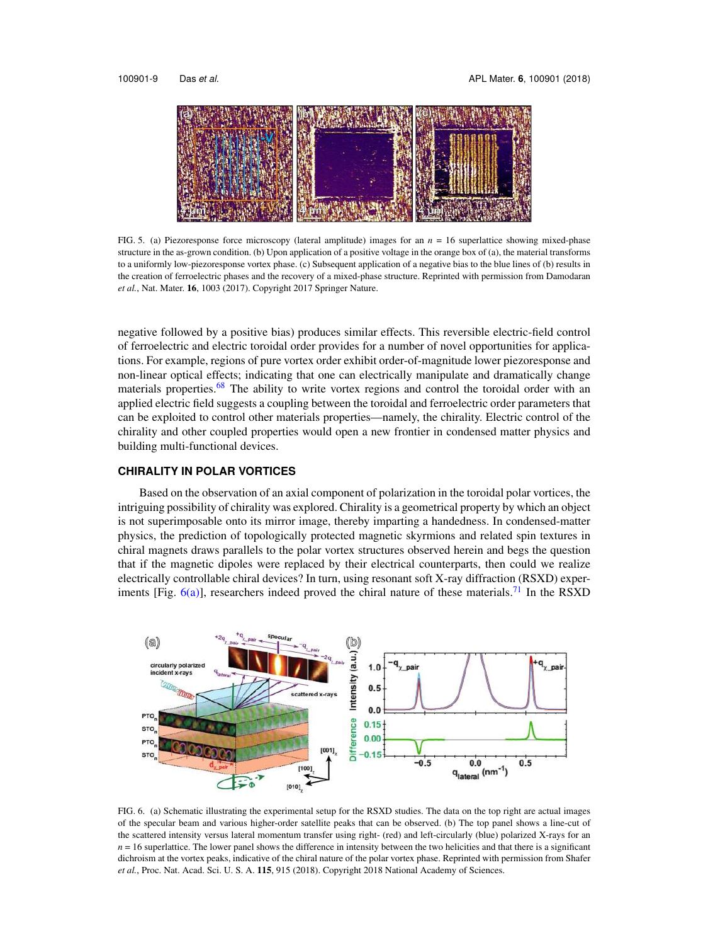

FIG. 5. (a) Piezoresponse force microscopy (lateral amplitude) images for an *n* = 16 superlattice showing mixed-phase structure in the as-grown condition. (b) Upon application of a positive voltage in the orange box of (a), the material transforms to a uniformly low-piezoresponse vortex phase. (c) Subsequent application of a negative bias to the blue lines of (b) results in the creation of ferroelectric phases and the recovery of a mixed-phase structure. Reprinted with permission from Damodaran *et al.*, Nat. Mater. **16**, 1003 (2017). Copyright 2017 Springer Nature.

negative followed by a positive bias) produces similar effects. This reversible electric-field control of ferroelectric and electric toroidal order provides for a number of novel opportunities for applications. For example, regions of pure vortex order exhibit order-of-magnitude lower piezoresponse and non-linear optical effects; indicating that one can electrically manipulate and dramatically change materials properties.<sup>68</sup> The ability to write vortex regions and control the toroidal order with an applied electric field suggests a coupling between the toroidal and ferroelectric order parameters that can be exploited to control other materials properties—namely, the chirality. Electric control of the chirality and other coupled properties would open a new frontier in condensed matter physics and building multi-functional devices.

#### **CHIRALITY IN POLAR VORTICES**

Based on the observation of an axial component of polarization in the toroidal polar vortices, the intriguing possibility of chirality was explored. Chirality is a geometrical property by which an object is not superimposable onto its mirror image, thereby imparting a handedness. In condensed-matter physics, the prediction of topologically protected magnetic skyrmions and related spin textures in chiral magnets draws parallels to the polar vortex structures observed herein and begs the question that if the magnetic dipoles were replaced by their electrical counterparts, then could we realize electrically controllable chiral devices? In turn, using resonant soft X-ray diffraction (RSXD) experiments [Fig.  $6(a)$ ], researchers indeed proved the chiral nature of these materials.<sup>71</sup> In the RSXD



FIG. 6. (a) Schematic illustrating the experimental setup for the RSXD studies. The data on the top right are actual images of the specular beam and various higher-order satellite peaks that can be observed. (b) The top panel shows a line-cut of the scattered intensity versus lateral momentum transfer using right- (red) and left-circularly (blue) polarized X-rays for an  $n = 16$  superlattice. The lower panel shows the difference in intensity between the two helicities and that there is a significant dichroism at the vortex peaks, indicative of the chiral nature of the polar vortex phase. Reprinted with permission from Shafer *et al.*, Proc. Nat. Acad. Sci. U. S. A. **115**, 915 (2018). Copyright 2018 National Academy of Sciences.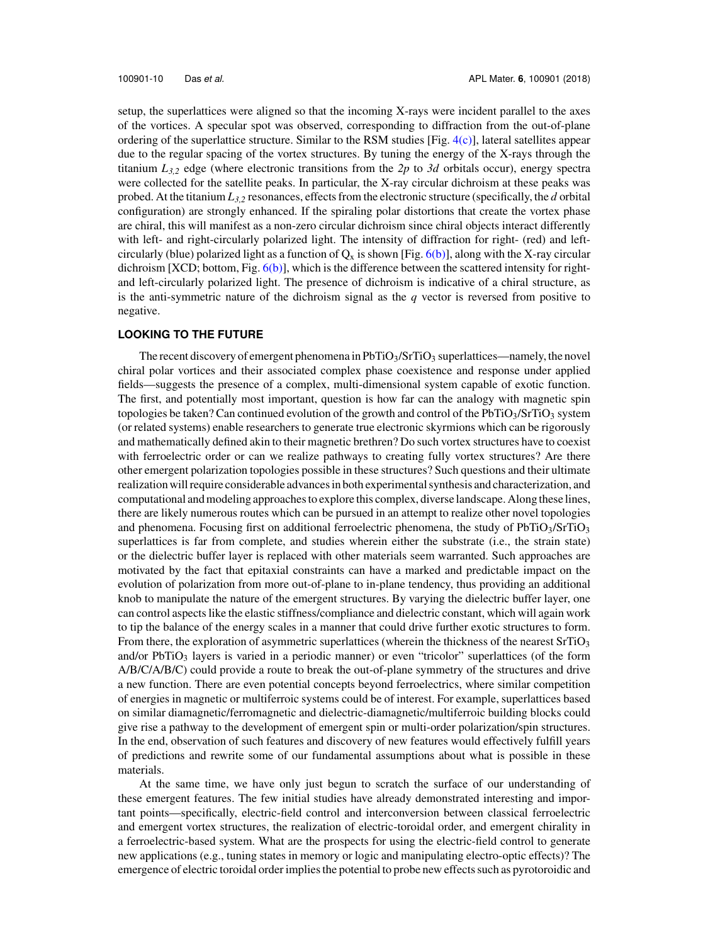setup, the superlattices were aligned so that the incoming X-rays were incident parallel to the axes of the vortices. A specular spot was observed, corresponding to diffraction from the out-of-plane ordering of the superlattice structure. Similar to the RSM studies [Fig. 4(c)], lateral satellites appear due to the regular spacing of the vortex structures. By tuning the energy of the X-rays through the titanium *L3,2* edge (where electronic transitions from the *2p* to *3d* orbitals occur), energy spectra were collected for the satellite peaks. In particular, the X-ray circular dichroism at these peaks was probed. At the titanium *L3,2* resonances, effects from the electronic structure (specifically, the *d* orbital configuration) are strongly enhanced. If the spiraling polar distortions that create the vortex phase are chiral, this will manifest as a non-zero circular dichroism since chiral objects interact differently with left- and right-circularly polarized light. The intensity of diffraction for right- (red) and leftcircularly (blue) polarized light as a function of  $Q_x$  is shown [Fig. 6(b)], along with the X-ray circular dichroism  $[XCD; bottom, Fig. 6(b)], which is the difference between the scattered intensity for right$ and left-circularly polarized light. The presence of dichroism is indicative of a chiral structure, as is the anti-symmetric nature of the dichroism signal as the *q* vector is reversed from positive to negative.

#### **LOOKING TO THE FUTURE**

The recent discovery of emergent phenomena in  $PbTiO<sub>3</sub>/STIO<sub>3</sub>$  superlattices—namely, the novel chiral polar vortices and their associated complex phase coexistence and response under applied fields—suggests the presence of a complex, multi-dimensional system capable of exotic function. The first, and potentially most important, question is how far can the analogy with magnetic spin topologies be taken? Can continued evolution of the growth and control of the PbTiO3/SrTiO3 system (or related systems) enable researchers to generate true electronic skyrmions which can be rigorously and mathematically defined akin to their magnetic brethren? Do such vortex structures have to coexist with ferroelectric order or can we realize pathways to creating fully vortex structures? Are there other emergent polarization topologies possible in these structures? Such questions and their ultimate realization will require considerable advances in both experimental synthesis and characterization, and computational and modeling approaches to explore this complex, diverse landscape. Along these lines, there are likely numerous routes which can be pursued in an attempt to realize other novel topologies and phenomena. Focusing first on additional ferroelectric phenomena, the study of  $PbTiO<sub>3</sub>/SrTiO<sub>3</sub>$ superlattices is far from complete, and studies wherein either the substrate (i.e., the strain state) or the dielectric buffer layer is replaced with other materials seem warranted. Such approaches are motivated by the fact that epitaxial constraints can have a marked and predictable impact on the evolution of polarization from more out-of-plane to in-plane tendency, thus providing an additional knob to manipulate the nature of the emergent structures. By varying the dielectric buffer layer, one can control aspects like the elastic stiffness/compliance and dielectric constant, which will again work to tip the balance of the energy scales in a manner that could drive further exotic structures to form. From there, the exploration of asymmetric superlattices (wherein the thickness of the nearest  $SrTiO<sub>3</sub>$ and/or PbTiO<sub>3</sub> layers is varied in a periodic manner) or even "tricolor" superlattices (of the form A/B/C/A/B/C) could provide a route to break the out-of-plane symmetry of the structures and drive a new function. There are even potential concepts beyond ferroelectrics, where similar competition of energies in magnetic or multiferroic systems could be of interest. For example, superlattices based on similar diamagnetic/ferromagnetic and dielectric-diamagnetic/multiferroic building blocks could give rise a pathway to the development of emergent spin or multi-order polarization/spin structures. In the end, observation of such features and discovery of new features would effectively fulfill years of predictions and rewrite some of our fundamental assumptions about what is possible in these materials.

At the same time, we have only just begun to scratch the surface of our understanding of these emergent features. The few initial studies have already demonstrated interesting and important points—specifically, electric-field control and interconversion between classical ferroelectric and emergent vortex structures, the realization of electric-toroidal order, and emergent chirality in a ferroelectric-based system. What are the prospects for using the electric-field control to generate new applications (e.g., tuning states in memory or logic and manipulating electro-optic effects)? The emergence of electric toroidal order implies the potential to probe new effects such as pyrotoroidic and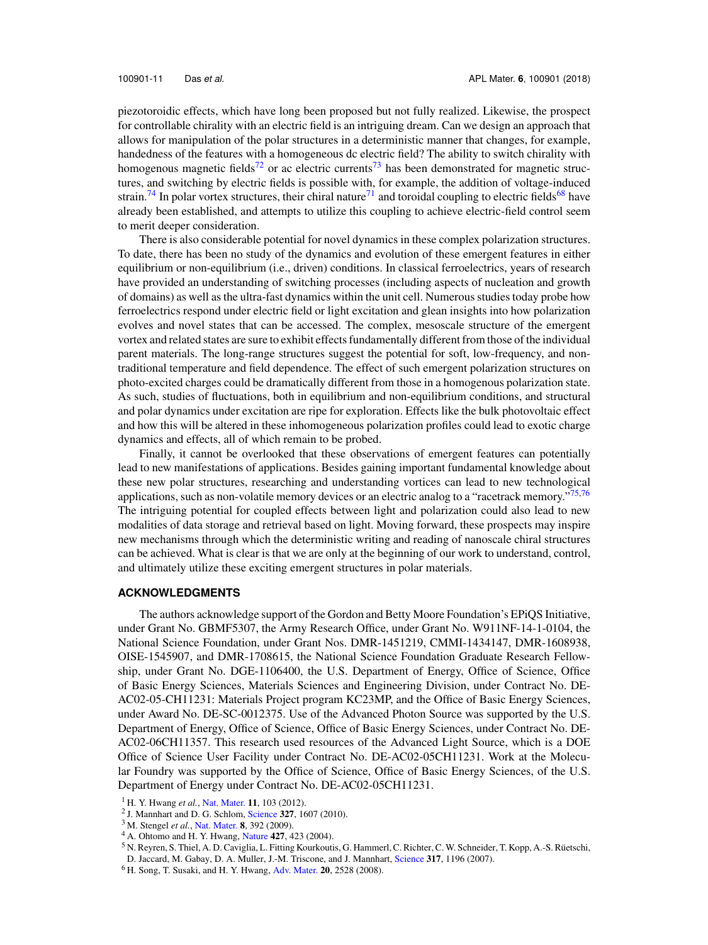piezotoroidic effects, which have long been proposed but not fully realized. Likewise, the prospect for controllable chirality with an electric field is an intriguing dream. Can we design an approach that allows for manipulation of the polar structures in a deterministic manner that changes, for example, handedness of the features with a homogeneous dc electric field? The ability to switch chirality with homogenous magnetic fields<sup>72</sup> or ac electric currents<sup>73</sup> has been demonstrated for magnetic structures, and switching by electric fields is possible with, for example, the addition of voltage-induced strain.<sup>74</sup> In polar vortex structures, their chiral nature<sup>71</sup> and toroidal coupling to electric fields<sup>68</sup> have already been established, and attempts to utilize this coupling to achieve electric-field control seem to merit deeper consideration.

There is also considerable potential for novel dynamics in these complex polarization structures. To date, there has been no study of the dynamics and evolution of these emergent features in either equilibrium or non-equilibrium (i.e., driven) conditions. In classical ferroelectrics, years of research have provided an understanding of switching processes (including aspects of nucleation and growth of domains) as well as the ultra-fast dynamics within the unit cell. Numerous studies today probe how ferroelectrics respond under electric field or light excitation and glean insights into how polarization evolves and novel states that can be accessed. The complex, mesoscale structure of the emergent vortex and related states are sure to exhibit effects fundamentally different from those of the individual parent materials. The long-range structures suggest the potential for soft, low-frequency, and nontraditional temperature and field dependence. The effect of such emergent polarization structures on photo-excited charges could be dramatically different from those in a homogenous polarization state. As such, studies of fluctuations, both in equilibrium and non-equilibrium conditions, and structural and polar dynamics under excitation are ripe for exploration. Effects like the bulk photovoltaic effect and how this will be altered in these inhomogeneous polarization profiles could lead to exotic charge dynamics and effects, all of which remain to be probed.

Finally, it cannot be overlooked that these observations of emergent features can potentially lead to new manifestations of applications. Besides gaining important fundamental knowledge about these new polar structures, researching and understanding vortices can lead to new technological applications, such as non-volatile memory devices or an electric analog to a "racetrack memory."<sup>75,76</sup> The intriguing potential for coupled effects between light and polarization could also lead to new modalities of data storage and retrieval based on light. Moving forward, these prospects may inspire new mechanisms through which the deterministic writing and reading of nanoscale chiral structures can be achieved. What is clear is that we are only at the beginning of our work to understand, control, and ultimately utilize these exciting emergent structures in polar materials.

#### **ACKNOWLEDGMENTS**

The authors acknowledge support of the Gordon and Betty Moore Foundation's EPiQS Initiative, under Grant No. GBMF5307, the Army Research Office, under Grant No. W911NF-14-1-0104, the National Science Foundation, under Grant Nos. DMR-1451219, CMMI-1434147, DMR-1608938, OISE-1545907, and DMR-1708615, the National Science Foundation Graduate Research Fellowship, under Grant No. DGE-1106400, the U.S. Department of Energy, Office of Science, Office of Basic Energy Sciences, Materials Sciences and Engineering Division, under Contract No. DE-AC02-05-CH11231: Materials Project program KC23MP, and the Office of Basic Energy Sciences, under Award No. DE-SC-0012375. Use of the Advanced Photon Source was supported by the U.S. Department of Energy, Office of Science, Office of Basic Energy Sciences, under Contract No. DE-AC02-06CH11357. This research used resources of the Advanced Light Source, which is a DOE Office of Science User Facility under Contract No. DE-AC02-05CH11231. Work at the Molecular Foundry was supported by the Office of Science, Office of Basic Energy Sciences, of the U.S. Department of Energy under Contract No. DE-AC02-05CH11231.

- <sup>4</sup> A. Ohtomo and H. Y. Hwang, Nature **427**, 423 (2004).
- <sup>5</sup> N. Reyren, S. Thiel, A. D. Caviglia, L. Fitting Kourkoutis, G. Hammerl, C. Richter, C. W. Schneider, T. Kopp, A.-S. Ruetschi, ¨ D. Jaccard, M. Gabay, D. A. Muller, J.-M. Triscone, and J. Mannhart, Science **317**, 1196 (2007).

<sup>1</sup> H. Y. Hwang *et al.*, Nat. Mater. **11**, 103 (2012).

<sup>2</sup> J. Mannhart and D. G. Schlom, Science **327**, 1607 (2010).

<sup>3</sup> M. Stengel *et al.*, Nat. Mater. **8**, 392 (2009).

<sup>6</sup> H. Song, T. Susaki, and H. Y. Hwang, Adv. Mater. **20**, 2528 (2008).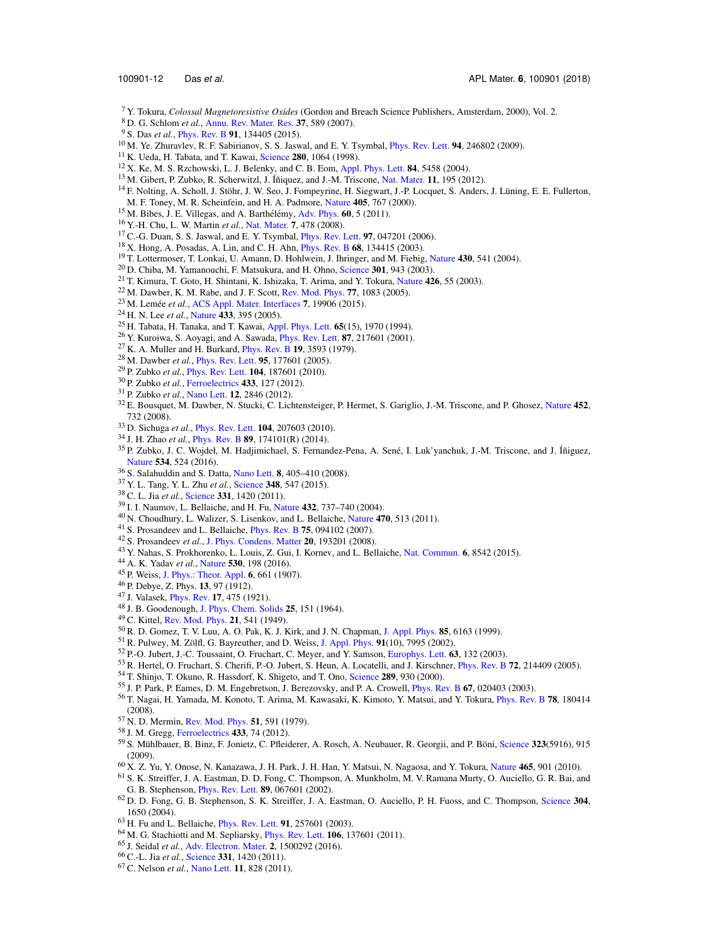- Y. Tokura, *Colossal Magnetoresistive Oxides* (Gordon and Breach Science Publishers, Amsterdam, 2000), Vol. 2.
- D. G. Schlom *et al.*, Annu. Rev. Mater. Res. **37**, 589 (2007).
- S. Das *et al.*, Phys. Rev. B **91**, 134405 (2015).
- M. Ye. Zhuravlev, R. F. Sabirianov, S. S. Jaswal, and E. Y. Tsymbal, Phys. Rev. Lett. **94**, 246802 (2009).
- K. Ueda, H. Tabata, and T. Kawai, Science **280**, 1064 (1998).
- X. Ke, M. S. Rzchowski, L. J. Belenky, and C. B. Eom, Appl. Phys. Lett. **84**, 5458 (2004).
- <sup>13</sup> M. Gibert, P. Zubko, R. Scherwitzl, J. Íñiquez, and J.-M. Triscone, Nat. Mater. **11**, 195 (2012).
- <sup>14</sup> F. Nolting, A. Scholl, J. Stöhr, J. W. Seo, J. Fompeyrine, H. Siegwart, J.-P. Locquet, S. Anders, J. Lüning, E. E. Fullerton, M. F. Toney, M. R. Scheinfein, and H. A. Padmore, Nature **405**, 767 (2000).
- <sup>15</sup> M. Bibes, J. E. Villegas, and A. Barthélémy, Adv. Phys. **60**, 5 (2011).
- Y.-H. Chu, L. W. Martin *et al.*, Nat. Mater. **7**, 478 (2008).
- C.-G. Duan, S. S. Jaswal, and E. Y. Tsymbal, Phys. Rev. Lett. **97**, 047201 (2006).
- X. Hong, A. Posadas, A. Lin, and C. H. Ahn, Phys. Rev. B **68**, 134415 (2003).
- T. Lottermoser, T. Lonkai, U. Amann, D. Hohlwein, J. Ihringer, and M. Fiebig, Nature **430**, 541 (2004).
- D. Chiba, M. Yamanouchi, F. Matsukura, and H. Ohno, Science **301**, 943 (2003).
- T. Kimura, T. Goto, H. Shintani, K. Ishizaka, T. Arima, and Y. Tokura, Nature **426**, 55 (2003).
- M. Dawber, K. M. Rabe, and J. F. Scott, Rev. Mod. Phys. **77**, 1083 (2005).
- <sup>23</sup> M. Lemée et al., ACS Appl. Mater. Interfaces **7**, 19906 (2015).
- H. N. Lee *et al.*, Nature **433**, 395 (2005).
- H. Tabata, H. Tanaka, and T. Kawai, Appl. Phys. Lett. **65**(15), 1970 (1994).
- Y. Kuroiwa, S. Aoyagi, and A. Sawada, Phys. Rev. Lett. **87**, 217601 (2001).
- K. A. Muller and H. Burkard, Phys. Rev. B **19**, 3593 (1979).
- M. Dawber *et al.*, Phys. Rev. Lett. **95**, 177601 (2005).
- P. Zubko *et al.*, Phys. Rev. Lett. **104**, 187601 (2010).
- P. Zubko *et al.*, Ferroelectrics **433**, 127 (2012).
- P. Zubko *et al.*, Nano Lett. **12**, 2846 (2012).
- E. Bousquet, M. Dawber, N. Stucki, C. Lichtensteiger, P. Hermet, S. Gariglio, J.-M. Triscone, and P. Ghosez, Nature **452**, 732 (2008).
- D. Sichuga *et al.*, Phys. Rev. Lett. **104**, 207603 (2010).
- J. H. Zhao *et al.*, Phys. Rev. B **89**, 174101(R) (2014).
- <sup>35</sup> P. Zubko, J. C. Wojdeł, M. Hadjimichael, S. Fernandez-Pena, A. Sené, I. Luk'yanchuk, J.-M. Triscone, and J. Íñiguez, Nature **534**, 524 (2016).
- S. Salahuddin and S. Datta, Nano Lett. **8**, 405–410 (2008).
- Y. L. Tang, Y. L. Zhu *et al.*, Science **348**, 547 (2015).
- C. L. Jia *et al.*, Science **331**, 1420 (2011).
- I. I. Naumov, L. Bellaiche, and H. Fu, Nature **432**, 737–740 (2004).
- N. Choudhury, L. Walizer, S. Lisenkov, and L. Bellaiche, Nature **470**, 513 (2011).
- S. Prosandeev and L. Bellaiche, Phys. Rev. B **75**, 094102 (2007).
- S. Prosandeev *et al.*, J. Phys. Condens. Matter **20**, 193201 (2008).
- Y. Nahas, S. Prokhorenko, L. Louis, Z. Gui, I. Kornev, and L. Bellaiche, Nat. Commun. **6**, 8542 (2015).
- A. K. Yadav *et al.*, Nature **530**, 198 (2016).
- P. Weiss, J. Phys.: Theor. Appl. **6**, 661 (1907).
- P. Debye, Z. Phys. **13**, 97 (1912).
- J. Valasek, Phys. Rev. **17**, 475 (1921).
- J. B. Goodenough, J. Phys. Chem. Solids **25**, 151 (1964).
- C. Kittel, Rev. Mod. Phys. **21**, 541 (1949).
- R. D. Gomez, T. V. Luu, A. O. Pak, K. J. Kirk, and J. N. Chapman, J. Appl. Phys. **85**, 6163 (1999).
- <sup>51</sup> R. Pulwey, M. Zölfl, G. Bayreuther, and D. Weiss, J. Appl. Phys. 91(10), 7995 (2002).
- P.-O. Jubert, J.-C. Toussaint, O. Fruchart, C. Meyer, and Y. Samson, Europhys. Lett. **63**, 132 (2003).
- R. Hertel, O. Fruchart, S. Cherifi, P.-O. Jubert, S. Heun, A. Locatelli, and J. Kirschner, Phys. Rev. B **72**, 214409 (2005).
- T. Shinjo, T. Okuno, R. Hassdorf, K. Shigeto, and T. Ono, Science **289**, 930 (2000).
- J. P. Park, P. Eames, D. M. Engebretson, J. Berezovsky, and P. A. Crowell, Phys. Rev. B **67**, 020403 (2003).
- T. Nagai, H. Yamada, M. Konoto, T. Arima, M. Kawasaki, K. Kimoto, Y. Matsui, and Y. Tokura, Phys. Rev. B **78**, 180414 (2008).
- N. D. Mermin, Rev. Mod. Phys. **51**, 591 (1979).
- J. M. Gregg, Ferroelectrics **433**, 74 (2012).
- 59 S. Mühlbauer, B. Binz, F. Jonietz, C. Pfleiderer, A. Rosch, A. Neubauer, R. Georgii, and P. Böni, Science 323(5916), 915 (2009).
- X. Z. Yu, Y. Onose, N. Kanazawa, J. H. Park, J. H. Han, Y. Matsui, N. Nagaosa, and Y. Tokura, Nature **465**, 901 (2010). S. K. Streiffer, J. A. Eastman, D. D. Fong, C. Thompson, A. Munkholm, M. V. Ramana Murty, O. Auciello, G. R. Bai, and G. B. Stephenson, Phys. Rev. Lett. **89**, 067601 (2002).
- D. D. Fong, G. B. Stephenson, S. K. Streiffer, J. A. Eastman, O. Auciello, P. H. Fuoss, and C. Thompson, Science **304**, 1650 (2004).
- H. Fu and L. Bellaiche, Phys. Rev. Lett. **91**, 257601 (2003).
- M. G. Stachiotti and M. Sepliarsky, Phys. Rev. Lett. **106**, 137601 (2011).
- J. Seidal *et al.*, Adv. Electron. Mater. **2**, 1500292 (2016).
- C.-L. Jia *et al.*, Science **331**, 1420 (2011).
- C. Nelson *et al.*, Nano Lett. **11**, 828 (2011).